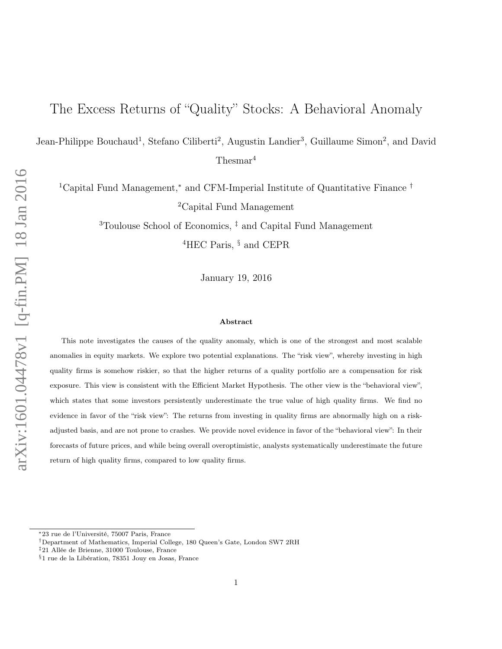# The Excess Returns of "Quality" Stocks: A Behavioral Anomaly

Jean-Philippe Bouchaud<sup>1</sup>, Stefano Ciliberti<sup>2</sup>, Augustin Landier<sup>3</sup>, Guillaume Simon<sup>2</sup>, and David Thesmar<sup>4</sup>

<sup>1</sup>Capital Fund Management,<sup>∗</sup> and CFM-Imperial Institute of Quantitative Finance † <sup>2</sup>Capital Fund Management

> <sup>3</sup>Toulouse School of Economics, ‡ and Capital Fund Management <sup>4</sup>HEC Paris, <sup>§</sup> and CEPR

> > January 19, 2016

#### Abstract

This note investigates the causes of the quality anomaly, which is one of the strongest and most scalable anomalies in equity markets. We explore two potential explanations. The "risk view", whereby investing in high quality firms is somehow riskier, so that the higher returns of a quality portfolio are a compensation for risk exposure. This view is consistent with the Efficient Market Hypothesis. The other view is the "behavioral view", which states that some investors persistently underestimate the true value of high quality firms. We find no evidence in favor of the "risk view": The returns from investing in quality firms are abnormally high on a riskadjusted basis, and are not prone to crashes. We provide novel evidence in favor of the "behavioral view": In their forecasts of future prices, and while being overall overoptimistic, analysts systematically underestimate the future return of high quality firms, compared to low quality firms.

<sup>∗</sup>23 rue de l'Université, 75007 Paris, France

<sup>†</sup>Department of Mathematics, Imperial College, 180 Queen's Gate, London SW7 2RH

<sup>‡</sup>21 Allée de Brienne, 31000 Toulouse, France

<sup>§</sup>1 rue de la Libération, 78351 Jouy en Josas, France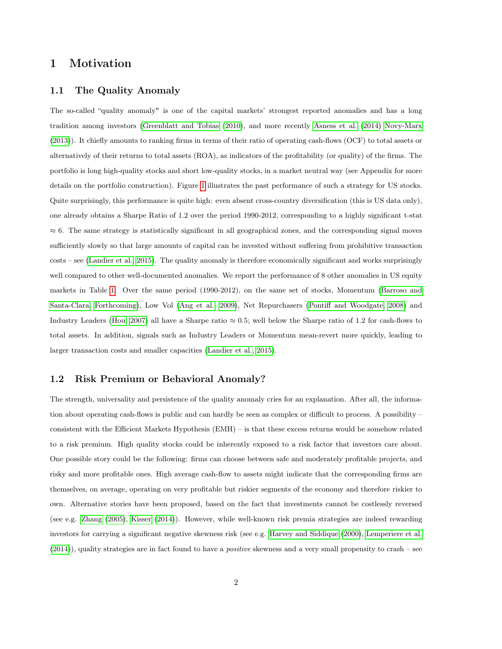# 1 Motivation

### 1.1 The Quality Anomaly

The so-called "quality anomaly" is one of the capital markets' strongest reported anomalies and has a long tradition among investors [\(Greenblatt and Tobias](#page-9-0) [\(2010\)](#page-9-0), and more recently [Asness et al.](#page-9-1) [\(2014\)](#page-9-1) [Novy-Marx](#page-10-0) [\(2013\)](#page-10-0)). It chiefly amounts to ranking firms in terms of their ratio of operating cash-flows (OCF) to total assets or alternatively of their returns to total assets (ROA), as indicators of the profitability (or quality) of the firms. The portfolio is long high-quality stocks and short low-quality stocks, in a market neutral way (see Appendix for more details on the portfolio construction). Figure [1](#page-3-0) illustrates the past performance of such a strategy for US stocks. Quite surprisingly, this performance is quite high: even absent cross-country diversification (this is US data only), one already obtains a Sharpe Ratio of 1.2 over the period 1990-2012, corresponding to a highly significant t-stat  $\approx 6$ . The same strategy is statistically significant in all geographical zones, and the corresponding signal moves sufficiently slowly so that large amounts of capital can be invested without suffering from prohibitive transaction costs – see [\(Landier et al., 2015\)](#page-10-1). The quality anomaly is therefore economically significant and works surprisingly well compared to other well-documented anomalies. We report the performance of 8 other anomalies in US equity markets in Table [1.](#page-2-0) Over the same period (1990-2012), on the same set of stocks, Momentum [\(Barroso and](#page-9-2) [Santa-Clara, Forthcoming\)](#page-9-2), Low Vol [\(Ang et al., 2009\)](#page-9-3), Net Repurchasers [\(Pontiff and Woodgate, 2008\)](#page-10-2) and Industry Leaders [\(Hou, 2007\)](#page-10-3) all have a Sharpe ratio  $\approx 0.5$ ; well below the Sharpe ratio of 1.2 for cash-flows to total assets. In addition, signals such as Industry Leaders or Momentum mean-revert more quickly, leading to larger transaction costs and smaller capacities [\(Landier et al., 2015\)](#page-10-1).

### 1.2 Risk Premium or Behavioral Anomaly?

The strength, universality and persistence of the quality anomaly cries for an explanation. After all, the information about operating cash-flows is public and can hardly be seen as complex or difficult to process. A possibility – consistent with the Efficient Markets Hypothesis (EMH) – is that these excess returns would be somehow related to a risk premium. High quality stocks could be inherently exposed to a risk factor that investors care about. One possible story could be the following: firms can choose between safe and moderately profitable projects, and risky and more profitable ones. High average cash-flow to assets might indicate that the corresponding firms are themselves, on average, operating on very profitable but riskier segments of the economy and therefore riskier to own. Alternative stories have been proposed, based on the fact that investments cannot be costlessly reversed (see e.g. [Zhang](#page-10-4) [\(2005\)](#page-10-4), [Kisser](#page-10-5) [\(2014\)](#page-10-5)). However, while well-known risk premia strategies are indeed rewarding investors for carrying a significant negative skewness risk (see e.g. [Harvey and Siddique](#page-9-4) [\(2000\)](#page-9-4), [Lemperiere et al.](#page-10-6)  $(2014)$ ), quality strategies are in fact found to have a *positive* skewness and a very small propensity to crash – see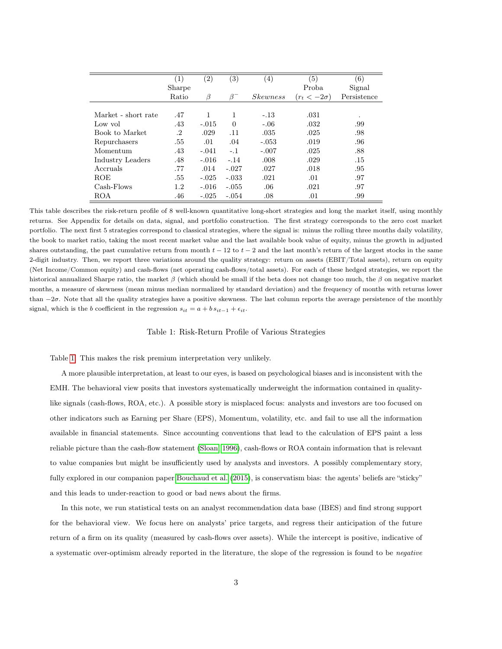<span id="page-2-0"></span>

|                     | $\left( 1\right)$ | $\left( 2\right)$ | $\left( 3\right)$ | $\left(4\right)$ | (5)                | (6)         |
|---------------------|-------------------|-------------------|-------------------|------------------|--------------------|-------------|
|                     | Sharpe            |                   |                   |                  | Proba              | Signal      |
|                     | Ratio             | β                 | $\beta^-$         | <i>Skewness</i>  | $(r_t < -2\sigma)$ | Persistence |
|                     |                   |                   |                   |                  |                    |             |
| Market - short rate | .47               | 1                 | 1                 | $-.13$           | .031               | $\cdot$     |
| Low vol             | .43               | $-.015$           | $\Omega$          | $-.06$           | .032               | .99         |
| Book to Market      | $\cdot^2$         | .029              | .11               | .035             | .025               | .98         |
| Repurchasers        | .55               | .01               | .04               | $-.053$          | .019               | .96         |
| Momentum            | .43               | $-.041$           | $-.1$             | $-.007$          | .025               | .88         |
| Industry Leaders    | .48               | $-.016$           | $-.14$            | .008             | .029               | .15         |
| Accruals            | .77               | .014              | $-.027$           | .027             | .018               | .95         |
| <b>ROE</b>          | .55               | $-.025$           | $-.033$           | .021             | .01                | .97         |
| Cash-Flows          | 1.2               | $-.016$           | $-.055$           | .06              | .021               | .97         |
| <b>ROA</b>          | .46               | $-.025$           | $-.054$           | .08              | .01                | .99         |

This table describes the risk-return profile of 8 well-known quantitative long-short strategies and long the market itself, using monthly returns. See Appendix for details on data, signal, and portfolio construction. The first strategy corresponds to the zero cost market portfolio. The next first 5 strategies correspond to classical strategies, where the signal is: minus the rolling three months daily volatility, the book to market ratio, taking the most recent market value and the last available book value of equity, minus the growth in adjusted shares outstanding, the past cumulative return from month  $t - 12$  to  $t - 2$  and the last month's return of the largest stocks in the same 2-digit industry. Then, we report three variations around the quality strategy: return on assets (EBIT/Total assets), return on equity (Net Income/Common equity) and cash-flows (net operating cash-flows/total assets). For each of these hedged strategies, we report the historical annualized Sharpe ratio, the market  $\beta$  (which should be small if the beta does not change too much, the  $\beta$  on negative market months, a measure of skewness (mean minus median normalized by standard deviation) and the frequency of months with returns lower than  $-2\sigma$ . Note that all the quality strategies have a positive skewness. The last column reports the average persistence of the monthly signal, which is the b coefficient in the regression  $s_{it} = a + b s_{it-1} + \epsilon_{it}$ .

#### Table 1: Risk-Return Profile of Various Strategies

Table [1.](#page-2-0) This makes the risk premium interpretation very unlikely.

A more plausible interpretation, at least to our eyes, is based on psychological biases and is inconsistent with the EMH. The behavioral view posits that investors systematically underweight the information contained in qualitylike signals (cash-flows, ROA, etc.). A possible story is misplaced focus: analysts and investors are too focused on other indicators such as Earning per Share (EPS), Momentum, volatility, etc. and fail to use all the information available in financial statements. Since accounting conventions that lead to the calculation of EPS paint a less reliable picture than the cash-flow statement [\(Sloan, 1996\)](#page-10-7), cash-flows or ROA contain information that is relevant to value companies but might be insufficiently used by analysts and investors. A possibly complementary story, fully explored in our companion paper [Bouchaud et al.](#page-9-5) [\(2015\)](#page-9-5), is conservatism bias: the agents' beliefs are "sticky" and this leads to under-reaction to good or bad news about the firms.

In this note, we run statistical tests on an analyst recommendation data base (IBES) and find strong support for the behavioral view. We focus here on analysts' price targets, and regress their anticipation of the future return of a firm on its quality (measured by cash-flows over assets). While the intercept is positive, indicative of a systematic over-optimism already reported in the literature, the slope of the regression is found to be negative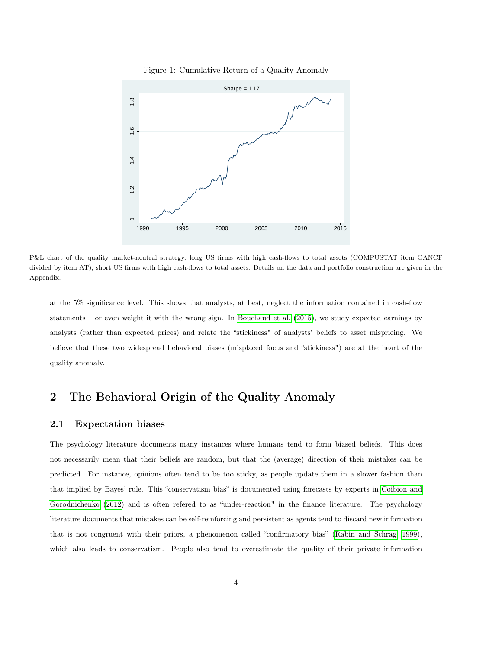

<span id="page-3-0"></span>Figure 1: Cumulative Return of a Quality Anomaly

P&L chart of the quality market-neutral strategy, long US firms with high cash-flows to total assets (COMPUSTAT item OANCF divided by item AT), short US firms with high cash-flows to total assets. Details on the data and portfolio construction are given in the Appendix.

at the 5% significance level. This shows that analysts, at best, neglect the information contained in cash-flow statements – or even weight it with the wrong sign. In [Bouchaud et al.](#page-9-5) [\(2015\)](#page-9-5), we study expected earnings by analysts (rather than expected prices) and relate the "stickiness" of analysts' beliefs to asset mispricing. We believe that these two widespread behavioral biases (misplaced focus and "stickiness") are at the heart of the quality anomaly.

# 2 The Behavioral Origin of the Quality Anomaly

### 2.1 Expectation biases

The psychology literature documents many instances where humans tend to form biased beliefs. This does not necessarily mean that their beliefs are random, but that the (average) direction of their mistakes can be predicted. For instance, opinions often tend to be too sticky, as people update them in a slower fashion than that implied by Bayes' rule. This "conservatism bias" is documented using forecasts by experts in [Coibion and](#page-9-6) [Gorodnichenko](#page-9-6) [\(2012\)](#page-9-6) and is often refered to as "under-reaction" in the finance literature. The psychology literature documents that mistakes can be self-reinforcing and persistent as agents tend to discard new information that is not congruent with their priors, a phenomenon called "confirmatory bias" [\(Rabin and Schrag, 1999\)](#page-10-8), which also leads to conservatism. People also tend to overestimate the quality of their private information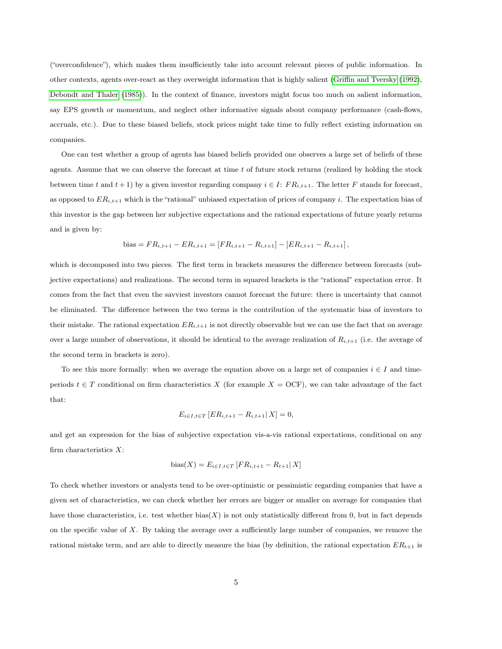("overconfidence"), which makes them insufficiently take into account relevant pieces of public information. In other contexts, agents over-react as they overweight information that is highly salient [\(Griffin and Tversky](#page-9-7) [\(1992\)](#page-9-7), [Debondt and Thaler](#page-9-8) [\(1985\)](#page-9-8)). In the context of finance, investors might focus too much on salient information, say EPS growth or momentum, and neglect other informative signals about company performance (cash-flows, accruals, etc.). Due to these biased beliefs, stock prices might take time to fully reflect existing information on companies.

One can test whether a group of agents has biased beliefs provided one observes a large set of beliefs of these agents. Assume that we can observe the forecast at time  $t$  of future stock returns (realized by holding the stock between time t and  $t + 1$ ) by a given investor regarding company  $i \in I: FR_{i,t+1}$ . The letter F stands for forecast, as opposed to  $ER_{i,t+1}$  which is the "rational" unbiased expectation of prices of company i. The expectation bias of this investor is the gap between her subjective expectations and the rational expectations of future yearly returns and is given by:

bias = 
$$
FR_{i,t+1} - ER_{i,t+1} = [FR_{i,t+1} - R_{i,t+1}] - [ER_{i,t+1} - R_{i,t+1}],
$$

which is decomposed into two pieces. The first term in brackets measures the difference between forecasts (subjective expectations) and realizations. The second term in squared brackets is the "rational" expectation error. It comes from the fact that even the savviest investors cannot forecast the future: there is uncertainty that cannot be eliminated. The difference between the two terms is the contribution of the systematic bias of investors to their mistake. The rational expectation  $ER_{i,t+1}$  is not directly observable but we can use the fact that on average over a large number of observations, it should be identical to the average realization of  $R_{i,t+1}$  (i.e. the average of the second term in brackets is zero).

To see this more formally: when we average the equation above on a large set of companies  $i \in I$  and timeperiods  $t \in T$  conditional on firm characteristics X (for example  $X = OCF$ ), we can take advantage of the fact that:

$$
E_{i \in I, t \in T} [ER_{i,t+1} - R_{i,t+1} | X] = 0,
$$

and get an expression for the bias of subjective expectation vis-a-vis rational expectations, conditional on any firm characteristics  $X$ :

bias
$$
(X) = E_{i \in I, t \in T} [FR_{i,t+1} - R_{t+1} | X]
$$

To check whether investors or analysts tend to be over-optimistic or pessimistic regarding companies that have a given set of characteristics, we can check whether her errors are bigger or smaller on average for companies that have those characteristics, i.e. test whether  $bias(X)$  is not only statistically different from 0, but in fact depends on the specific value of X. By taking the average over a sufficiently large number of companies, we remove the rational mistake term, and are able to directly measure the bias (by definition, the rational expectation  $ER_{t+1}$  is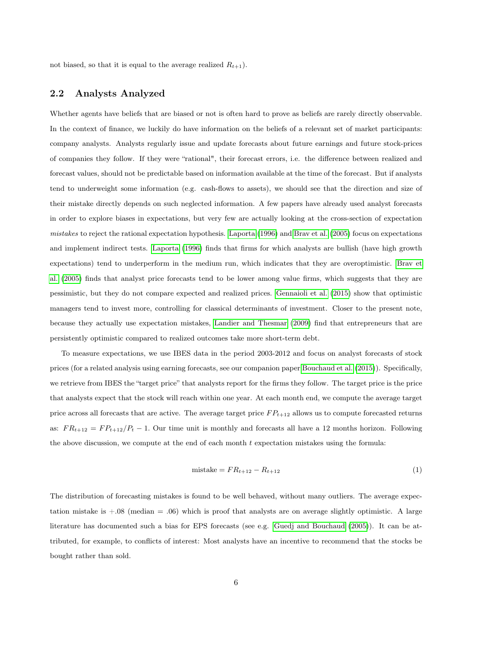not biased, so that it is equal to the average realized  $R_{t+1}$ ).

### 2.2 Analysts Analyzed

Whether agents have beliefs that are biased or not is often hard to prove as beliefs are rarely directly observable. In the context of finance, we luckily do have information on the beliefs of a relevant set of market participants: company analysts. Analysts regularly issue and update forecasts about future earnings and future stock-prices of companies they follow. If they were "rational", their forecast errors, i.e. the difference between realized and forecast values, should not be predictable based on information available at the time of the forecast. But if analysts tend to underweight some information (e.g. cash-flows to assets), we should see that the direction and size of their mistake directly depends on such neglected information. A few papers have already used analyst forecasts in order to explore biases in expectations, but very few are actually looking at the cross-section of expectation mistakes to reject the rational expectation hypothesis. [Laporta](#page-10-9) [\(1996\)](#page-10-9) and [Brav et al.](#page-9-9) [\(2005\)](#page-9-9) focus on expectations and implement indirect tests. [Laporta](#page-10-9) [\(1996\)](#page-10-9) finds that firms for which analysts are bullish (have high growth expectations) tend to underperform in the medium run, which indicates that they are overoptimistic. [Brav et](#page-9-9) [al.](#page-9-9) [\(2005\)](#page-9-9) finds that analyst price forecasts tend to be lower among value firms, which suggests that they are pessimistic, but they do not compare expected and realized prices. [Gennaioli et al.](#page-9-10) [\(2015\)](#page-9-10) show that optimistic managers tend to invest more, controlling for classical determinants of investment. Closer to the present note, because they actually use expectation mistakes, [Landier and Thesmar](#page-10-10) [\(2009\)](#page-10-10) find that entrepreneurs that are persistently optimistic compared to realized outcomes take more short-term debt.

To measure expectations, we use IBES data in the period 2003-2012 and focus on analyst forecasts of stock prices (for a related analysis using earning forecasts, see our companion paper [Bouchaud et al.](#page-9-5) [\(2015\)](#page-9-5)). Specifically, we retrieve from IBES the "target price" that analysts report for the firms they follow. The target price is the price that analysts expect that the stock will reach within one year. At each month end, we compute the average target price across all forecasts that are active. The average target price  $FP_{t+12}$  allows us to compute forecasted returns as:  $FR_{t+12} = FP_{t+12}/P_t - 1$ . Our time unit is monthly and forecasts all have a 12 months horizon. Following the above discussion, we compute at the end of each month  $t$  expectation mistakes using the formula:

$$
\text{mistake} = FR_{t+12} - R_{t+12} \tag{1}
$$

The distribution of forecasting mistakes is found to be well behaved, without many outliers. The average expectation mistake is  $+.08$  (median  $= .06$ ) which is proof that analysts are on average slightly optimistic. A large literature has documented such a bias for EPS forecasts (see e.g. [Guedj and Bouchaud](#page-9-11) [\(2005\)](#page-9-11)). It can be attributed, for example, to conflicts of interest: Most analysts have an incentive to recommend that the stocks be bought rather than sold.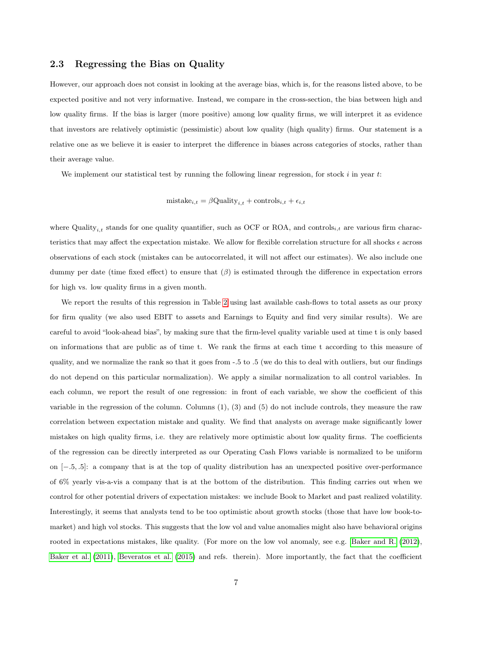### 2.3 Regressing the Bias on Quality

However, our approach does not consist in looking at the average bias, which is, for the reasons listed above, to be expected positive and not very informative. Instead, we compare in the cross-section, the bias between high and low quality firms. If the bias is larger (more positive) among low quality firms, we will interpret it as evidence that investors are relatively optimistic (pessimistic) about low quality (high quality) firms. Our statement is a relative one as we believe it is easier to interpret the difference in biases across categories of stocks, rather than their average value.

We implement our statistical test by running the following linear regression, for stock  $i$  in year  $t$ :

$$
mistake_{i,t} = \beta \text{Quality}_{i,t} + \text{controls}_{i,t} + \epsilon_{i,t}
$$

where Quality<sub>i,t</sub> stands for one quality quantifier, such as OCF or ROA, and controls<sub>i,t</sub> are various firm characteristics that may affect the expectation mistake. We allow for flexible correlation structure for all shocks  $\epsilon$  across observations of each stock (mistakes can be autocorrelated, it will not affect our estimates). We also include one dummy per date (time fixed effect) to ensure that  $(\beta)$  is estimated through the difference in expectation errors for high vs. low quality firms in a given month.

We report the results of this regression in Table [2](#page-7-0) using last available cash-flows to total assets as our proxy for firm quality (we also used EBIT to assets and Earnings to Equity and find very similar results). We are careful to avoid "look-ahead bias", by making sure that the firm-level quality variable used at time t is only based on informations that are public as of time t. We rank the firms at each time t according to this measure of quality, and we normalize the rank so that it goes from -.5 to .5 (we do this to deal with outliers, but our findings do not depend on this particular normalization). We apply a similar normalization to all control variables. In each column, we report the result of one regression: in front of each variable, we show the coefficient of this variable in the regression of the column. Columns (1), (3) and (5) do not include controls, they measure the raw correlation between expectation mistake and quality. We find that analysts on average make significantly lower mistakes on high quality firms, i.e. they are relatively more optimistic about low quality firms. The coefficients of the regression can be directly interpreted as our Operating Cash Flows variable is normalized to be uniform on [−.5, .5]: a company that is at the top of quality distribution has an unexpected positive over-performance of 6% yearly vis-a-vis a company that is at the bottom of the distribution. This finding carries out when we control for other potential drivers of expectation mistakes: we include Book to Market and past realized volatility. Interestingly, it seems that analysts tend to be too optimistic about growth stocks (those that have low book-tomarket) and high vol stocks. This suggests that the low vol and value anomalies might also have behavioral origins rooted in expectations mistakes, like quality. (For more on the low vol anomaly, see e.g. [Baker and R.](#page-9-12) [\(2012\)](#page-9-12), [Baker et al.](#page-9-13) [\(2011\)](#page-9-13), [Beveratos et al.](#page-9-14) [\(2015\)](#page-9-14) and refs. therein). More importantly, the fact that the coefficient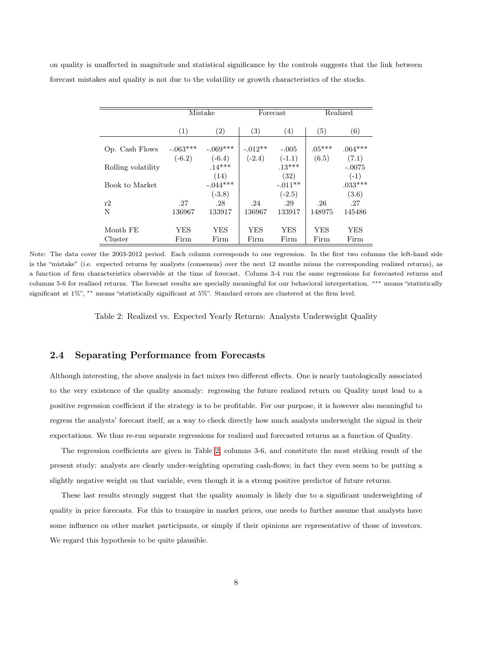<span id="page-7-0"></span>on quality is unaffected in magnitude and statistical significance by the controls suggests that the link between forecast mistakes and quality is not due to the volatility or growth characteristics of the stocks.

|                    | Mistake    |                   | Forecast          |                   | Realized   |           |
|--------------------|------------|-------------------|-------------------|-------------------|------------|-----------|
|                    | (1)        | $\left( 2\right)$ | $\left( 3\right)$ | $\left( 4\right)$ | (5)        | (6)       |
| Op. Cash Flows     | $-.063***$ | $-.069***$        | $-.012**$         | $-.005$           | $.05***$   | $.064***$ |
|                    | $(-6.2)$   | $(-6.4)$          | $(-2.4)$          | $(-1.1)$          | (6.5)      | (7.1)     |
| Rolling volatility |            | $.14***$          |                   | $.13***$          |            | $-.0075$  |
|                    |            | (14)              |                   | (32)              |            | $(-1)$    |
| Book to Market     |            | $-.044***$        |                   | $-.011**$         |            | $.033***$ |
|                    |            | $(-3.8)$          |                   | $(-2.5)$          |            | (3.6)     |
| r2                 | .27        | .28               | .24               | .29               | .26        | .27       |
| N                  | 136967     | 133917            | 136967            | 133917            | 148975     | 145486    |
|                    |            |                   |                   |                   |            |           |
| Month FE           | YES        | YES               | YES               | YES               | <b>YES</b> | YES       |
| Cluster            | Firm       | Firm              | Firm              | Firm              | Firm       | Firm      |

Note: The data cover the 2003-2012 period. Each column corresponds to one regression. In the first two columns the left-hand side is the "mistake" (i.e. expected returns by analysts (consensus) over the next 12 months minus the corresponding realized returns), as a function of firm characteristics observable at the time of forecast. Colums 3-4 run the same regressions for forecasted returns and columns 5-6 for realized returns. The forecast results are specially meaningful for our behavioral interpretation. ∗∗∗ means "statistically significant at 1%", ∗∗ means "statistically significant at 5%". Standard errors are clustered at the firm level.

Table 2: Realized vs. Expected Yearly Returns: Analysts Underweight Quality

## 2.4 Separating Performance from Forecasts

Although interesting, the above analysis in fact mixes two different effects. One is nearly tautologically associated to the very existence of the quality anomaly: regressing the future realized return on Quality must lead to a positive regression coefficient if the strategy is to be profitable. For our purpose, it is however also meaningful to regress the analysts' forecast itself, as a way to check directly how much analysts underweight the signal in their expectations. We thus re-run separate regressions for realized and forecasted returns as a function of Quality.

The regression coefficients are given in Table [2,](#page-7-0) columns 3-6, and constitute the most striking result of the present study: analysts are clearly under-weighting operating cash-flows; in fact they even seem to be putting a slightly negative weight on that variable, even though it is a strong positive predictor of future returns.

These last results strongly suggest that the quality anomaly is likely due to a significant underweighting of quality in price forecasts. For this to transpire in market prices, one needs to further assume that analysts have some influence on other market participants, or simply if their opinions are representative of those of investors. We regard this hypothesis to be quite plausible.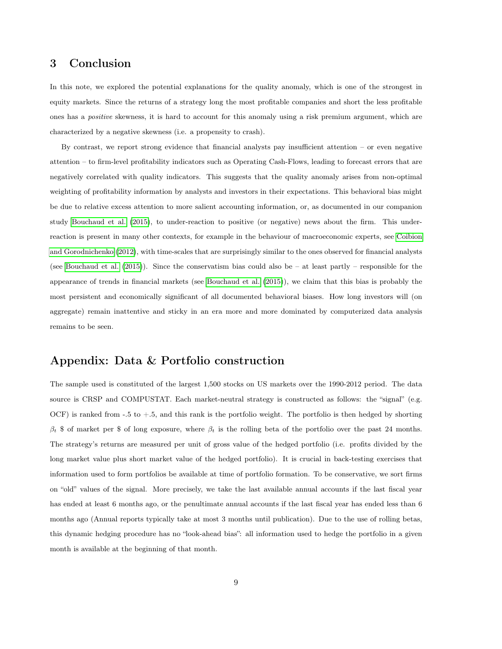# 3 Conclusion

In this note, we explored the potential explanations for the quality anomaly, which is one of the strongest in equity markets. Since the returns of a strategy long the most profitable companies and short the less profitable ones has a positive skewness, it is hard to account for this anomaly using a risk premium argument, which are characterized by a negative skewness (i.e. a propensity to crash).

By contrast, we report strong evidence that financial analysts pay insufficient attention – or even negative attention – to firm-level profitability indicators such as Operating Cash-Flows, leading to forecast errors that are negatively correlated with quality indicators. This suggests that the quality anomaly arises from non-optimal weighting of profitability information by analysts and investors in their expectations. This behavioral bias might be due to relative excess attention to more salient accounting information, or, as documented in our companion study [Bouchaud et al.](#page-9-5) [\(2015\)](#page-9-5), to under-reaction to positive (or negative) news about the firm. This underreaction is present in many other contexts, for example in the behaviour of macroeconomic experts, see [Coibion](#page-9-6) [and Gorodnichenko](#page-9-6) [\(2012\)](#page-9-6), with time-scales that are surprisingly similar to the ones observed for financial analysts (see [Bouchaud et al.](#page-9-5) [\(2015\)](#page-9-5)). Since the conservatism bias could also be – at least partly – responsible for the appearance of trends in financial markets (see [Bouchaud et al.](#page-9-5) [\(2015\)](#page-9-5)), we claim that this bias is probably the most persistent and economically significant of all documented behavioral biases. How long investors will (on aggregate) remain inattentive and sticky in an era more and more dominated by computerized data analysis remains to be seen.

# Appendix: Data & Portfolio construction

The sample used is constituted of the largest 1,500 stocks on US markets over the 1990-2012 period. The data source is CRSP and COMPUSTAT. Each market-neutral strategy is constructed as follows: the "signal" (e.g. OCF) is ranked from  $-5$  to  $+5$ , and this rank is the portfolio weight. The portfolio is then hedged by shorting  $\beta_t$  \$ of market per \$ of long exposure, where  $\beta_t$  is the rolling beta of the portfolio over the past 24 months. The strategy's returns are measured per unit of gross value of the hedged portfolio (i.e. profits divided by the long market value plus short market value of the hedged portfolio). It is crucial in back-testing exercises that information used to form portfolios be available at time of portfolio formation. To be conservative, we sort firms on "old" values of the signal. More precisely, we take the last available annual accounts if the last fiscal year has ended at least 6 months ago, or the penultimate annual accounts if the last fiscal year has ended less than 6 months ago (Annual reports typically take at most 3 months until publication). Due to the use of rolling betas, this dynamic hedging procedure has no "look-ahead bias": all information used to hedge the portfolio in a given month is available at the beginning of that month.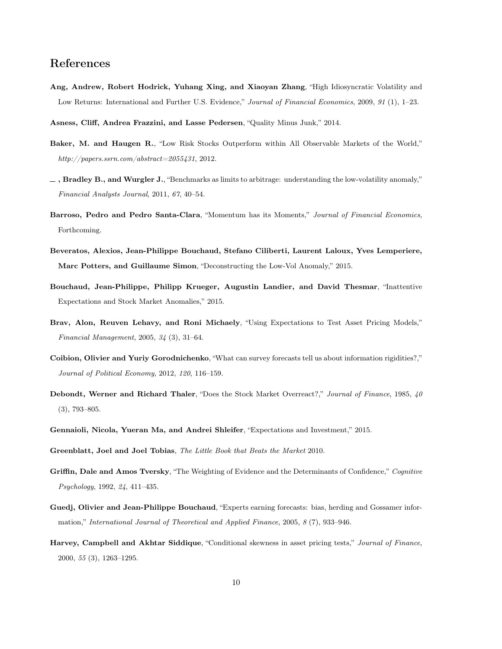# References

- <span id="page-9-3"></span>Ang, Andrew, Robert Hodrick, Yuhang Xing, and Xiaoyan Zhang, "High Idiosyncratic Volatility and Low Returns: International and Further U.S. Evidence," Journal of Financial Economics, 2009, 91 (1), 1–23.
- <span id="page-9-1"></span>Asness, Cliff, Andrea Frazzini, and Lasse Pedersen, "Quality Minus Junk," 2014.
- <span id="page-9-12"></span>Baker, M. and Haugen R., "Low Risk Stocks Outperform within All Observable Markets of the World," http://papers.ssrn.com/abstract=2055431, 2012.
- <span id="page-9-13"></span> $-$ , Bradley B., and Wurgler J., "Benchmarks as limits to arbitrage: understanding the low-volatility anomaly," Financial Analysts Journal, 2011, 67, 40–54.
- <span id="page-9-2"></span>Barroso, Pedro and Pedro Santa-Clara, "Momentum has its Moments," Journal of Financial Economics, Forthcoming.
- <span id="page-9-14"></span>Beveratos, Alexios, Jean-Philippe Bouchaud, Stefano Ciliberti, Laurent Laloux, Yves Lemperiere, Marc Potters, and Guillaume Simon, "Deconstructing the Low-Vol Anomaly," 2015.
- <span id="page-9-5"></span>Bouchaud, Jean-Philippe, Philipp Krueger, Augustin Landier, and David Thesmar, "Inattentive Expectations and Stock Market Anomalies," 2015.
- <span id="page-9-9"></span>Brav, Alon, Reuven Lehavy, and Roni Michaely, "Using Expectations to Test Asset Pricing Models," Financial Management, 2005, 34 (3), 31–64.
- <span id="page-9-6"></span>Coibion, Olivier and Yuriy Gorodnichenko, "What can survey forecasts tell us about information rigidities?," Journal of Political Economy, 2012, 120, 116–159.
- <span id="page-9-8"></span>Debondt, Werner and Richard Thaler, "Does the Stock Market Overreact?," Journal of Finance, 1985, 40 (3), 793–805.
- <span id="page-9-10"></span>Gennaioli, Nicola, Yueran Ma, and Andrei Shleifer, "Expectations and Investment," 2015.
- <span id="page-9-0"></span>Greenblatt, Joel and Joel Tobias, The Little Book that Beats the Market 2010.
- <span id="page-9-7"></span>Griffin, Dale and Amos Tversky, "The Weighting of Evidence and the Determinants of Confidence," Cognitive Psychology, 1992, 24, 411–435.
- <span id="page-9-11"></span>Guedj, Olivier and Jean-Philippe Bouchaud, "Experts earning forecasts: bias, herding and Gossamer information," International Journal of Theoretical and Applied Finance, 2005, 8 (7), 933–946.
- <span id="page-9-4"></span>Harvey, Campbell and Akhtar Siddique, "Conditional skewness in asset pricing tests," Journal of Finance, 2000, 55 (3), 1263–1295.